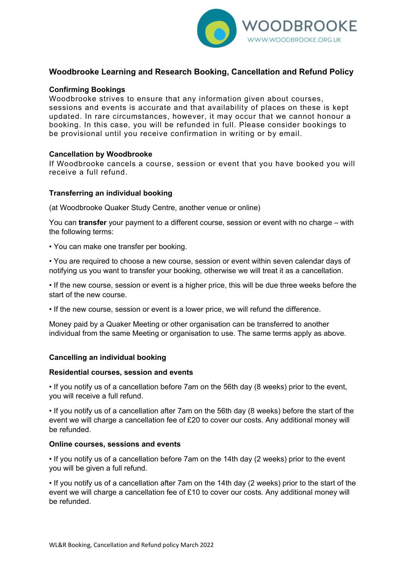

# **Woodbrooke Learning and Research Booking, Cancellation and Refund Policy**

## **Confirming Bookings**

Woodbrooke strives to ensure that any information given about courses, sessions and events is accurate and that availability of places on these is kept updated. In rare circumstances, however, it may occur that we cannot honour a booking. In this case, you will be refunded in full. Please consider bookings to be provisional until you receive confirmation in writing or by email.

### **Cancellation by Woodbrooke**

If Woodbrooke cancels a course, session or event that you have booked you will receive a full refund.

### **Transferring an individual booking**

(at Woodbrooke Quaker Study Centre, another venue or online)

You can **transfer** your payment to a different course, session or event with no charge – with the following terms:

• You can make one transfer per booking.

• You are required to choose a new course, session or event within seven calendar days of notifying us you want to transfer your booking, otherwise we will treat it as a cancellation.

• If the new course, session or event is a higher price, this will be due three weeks before the start of the new course.

• If the new course, session or event is a lower price, we will refund the difference.

Money paid by a Quaker Meeting or other organisation can be transferred to another individual from the same Meeting or organisation to use. The same terms apply as above.

### **Cancelling an individual booking**

### **Residential courses, session and events**

• If you notify us of a cancellation before 7am on the 56th day (8 weeks) prior to the event, you will receive a full refund.

• If you notify us of a cancellation after 7am on the 56th day (8 weeks) before the start of the event we will charge a cancellation fee of £20 to cover our costs. Any additional money will be refunded.

### **Online courses, sessions and events**

• If you notify us of a cancellation before 7am on the 14th day (2 weeks) prior to the event you will be given a full refund.

• If you notify us of a cancellation after 7am on the 14th day (2 weeks) prior to the start of the event we will charge a cancellation fee of £10 to cover our costs. Any additional money will be refunded.